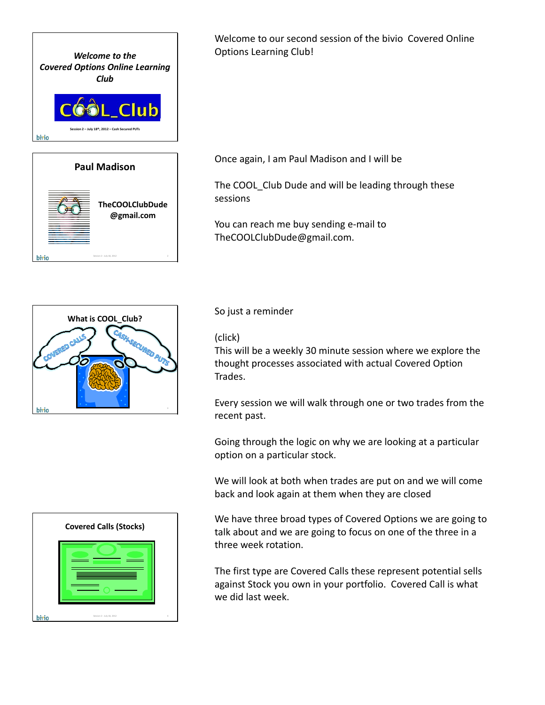



Welcome to our second session of the bivio Covered Online Options Learning Club!

Once again, I am Paul Madison and I will be

The COOL\_Club Dude and will be leading through these sessions

You can reach me buy sending e‐mail to TheCOOLClubDude@gmail.com.



## So just a reminder

## (click)

This will be a weekly 30 minute session where we explore the thought processes associated with actual Covered Option Trades.

Every session we will walk through one or two trades from the recent past.

Going through the logic on why we are looking at a particular option on a particular stock.

We will look at both when trades are put on and we will come back and look again at them when they are closed

We have three broad types of Covered Options we are going to talk about and we are going to focus on one of the three in a three week rotation.

The first type are Covered Calls these represent potential sells against Stock you own in your portfolio. Covered Call is what we did last week.

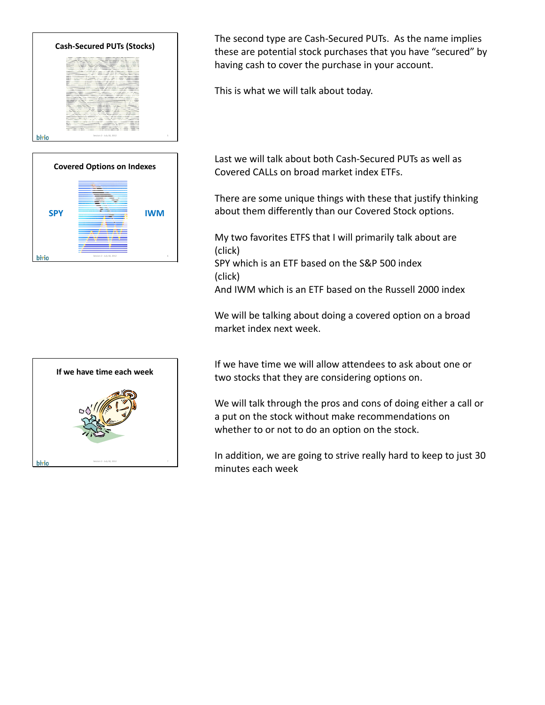



**If we have time each week** hivio Session 2 - July 18, 2012 7 The second type are Cash‐Secured PUTs. As the name implies these are potential stock purchases that you have "secured" by having cash to cover the purchase in your account.

This is what we will talk about today.

Last we will talk about both Cash‐Secured PUTs as well as Covered CALLs on broad market index ETFs.

There are some unique things with these that justify thinking about them differently than our Covered Stock options.

My two favorites ETFS that I will primarily talk about are (click)

SPY which is an ETF based on the S&P 500 index (click)

And IWM which is an ETF based on the Russell 2000 index

We will be talking about doing a covered option on a broad market index next week.

If we have time we will allow attendees to ask about one or two stocks that they are considering options on.

We will talk through the pros and cons of doing either a call or a put on the stock without make recommendations on whether to or not to do an option on the stock.

In addition, we are going to strive really hard to keep to just 30 minutes each week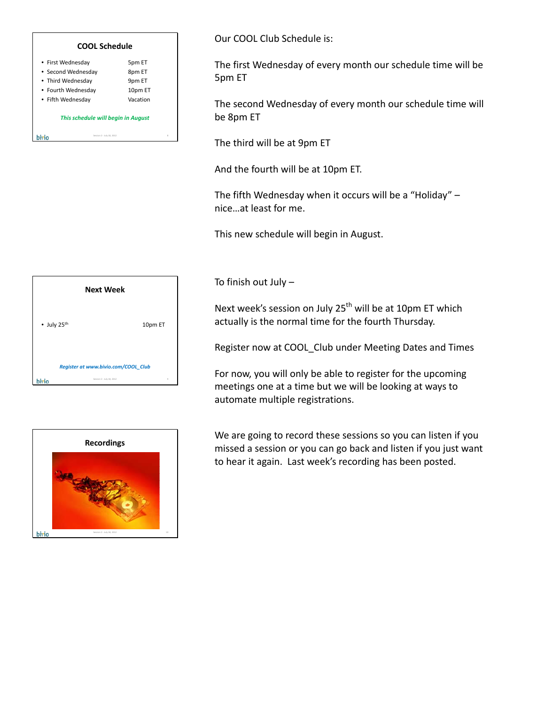

# **Next Week** • July 25th 10pm ET *Register at www.bivio.com/COOL\_Club* bivio Session 2 - July 18, 2012 9



Our COOL Club Schedule is:

The first Wednesday of every month our schedule time will be 5pm ET

The second Wednesday of every month our schedule time will be 8pm ET

The third will be at 9pm ET

And the fourth will be at 10pm ET.

The fifth Wednesday when it occurs will be a "Holiday" – nice…at least for me.

This new schedule will begin in August.

To finish out July –

Next week's session on July 25<sup>th</sup> will be at 10pm ET which actually is the normal time for the fourth Thursday.

Register now at COOL\_Club under Meeting Dates and Times

For now, you will only be able to register for the upcoming meetings one at a time but we will be looking at ways to automate multiple registrations.

We are going to record these sessions so you can listen if you missed a session or you can go back and listen if you just want to hear it again. Last week's recording has been posted.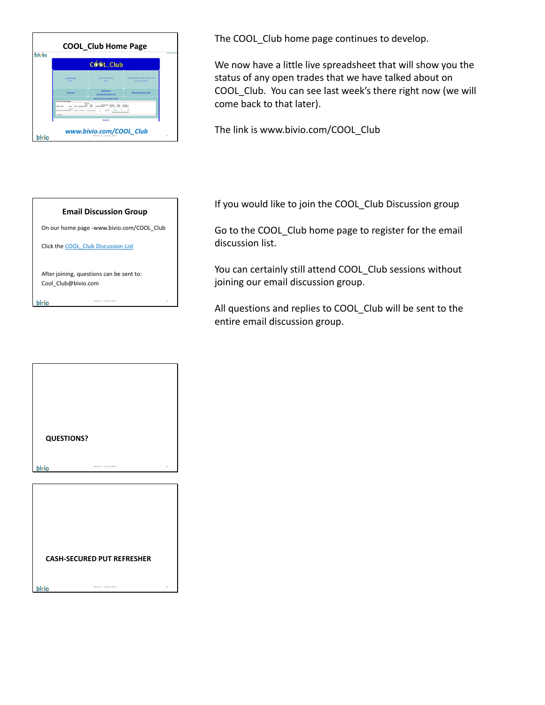|                                |            | COOL Club                               |                                                                        |
|--------------------------------|------------|-----------------------------------------|------------------------------------------------------------------------|
| LOVE SE LIMI<br><b>State</b>   |            | <b>EAST SATURE PUTS</b><br><b>State</b> | 1 PARTIES LIMIT AND LIMIT SAFUTAS PUTS.<br><b>Broad Harbor Indiana</b> |
| <b>Bankrupton</b>              |            | maantgota<br>Cool Club Decomposition    | Monitors Carlos and Times                                              |
| <b>COOL Club: Track Status</b> |            | as an since since stamped insurer       |                                                                        |
|                                | August The |                                         | <b>David</b>                                                           |
| Total Milk                     |            |                                         |                                                                        |
|                                |            | <b>Mond On</b>                          |                                                                        |



| <b>QUESTIONS?</b> |                                   |    |
|-------------------|-----------------------------------|----|
| bivio             | Session 2 - July 18, 2012         | 13 |
|                   |                                   |    |
|                   |                                   |    |
|                   |                                   |    |
|                   |                                   |    |
|                   | <b>CASH-SECURED PUT REFRESHER</b> |    |
|                   |                                   |    |

The COOL Club home page continues to develop.

We now have a little live spreadsheet that will show you the status of any open trades that we have talked about on COOL\_Club. You can see last week's there right now (we will come back to that later).

The link is www.bivio.com/COOL\_Club

If you would like to join the COOL\_Club Discussion group

Go to the COOL Club home page to register for the email discussion list.

You can certainly still attend COOL Club sessions without joining our email discussion group.

All questions and replies to COOL Club will be sent to the entire email discussion group.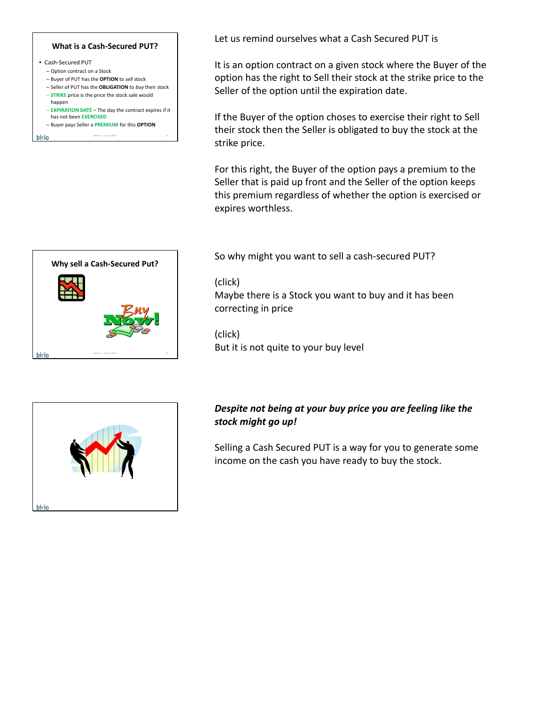## **What is a Cash‐Secured PUT?**

- Cash‐Secured PUT – Option contract on a Stock – Buyer of PUT has the **OPTION** to *sell* stock – Seller of PUT has the **OBLIGATION** to *buy* their stock
	- **STRIKE** price is the price the stock sale would
	- happen – **EXPIRATION DATE** – The day the contract expires if it has not been **EXERCISED**
	- Buyer pays Seller a **PREMIUM** for this **OPTION**

Session 2 - July 18, 2012 15

bivio



Let us remind ourselves what a Cash Secured PUT is

It is an option contract on a given stock where the Buyer of the option has the right to Sell their stock at the strike price to the Seller of the option until the expiration date.

If the Buyer of the option choses to exercise their right to Sell their stock then the Seller is obligated to buy the stock at the strike price.

For this right, the Buyer of the option pays a premium to the Seller that is paid up front and the Seller of the option keeps this premium regardless of whether the option is exercised or expires worthless.

So why might you want to sell a cash‐secured PUT?

(click)

Maybe there is a Stock you want to buy and it has been correcting in price

(click) But it is not quite to your buy level



## *Despite not being at your buy price you are feeling like the stock might go up!*

Selling a Cash Secured PUT is a way for you to generate some income on the cash you have ready to buy the stock.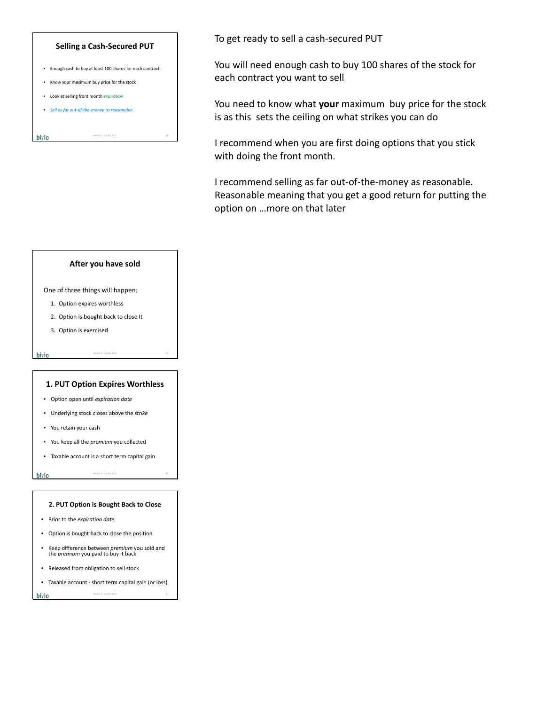## **Selling a Cash‐Secured PUT**

• Enough cash to buy at least 100 shares for each contract

Session 2 - July 18, 2012 18

- Know your maximum buy price for the stock
- Look at selling front month *expiration*

bivio

• *Sell as far out‐of‐the‐money as reasonable*

To get ready to sell a cash‐secured PUT

You will need enough cash to buy 100 shares of the stock for each contract you want to sell

You need to know what **your** maximum buy price for the stock is as this sets the ceiling on what strikes you can do

I recommend when you are first doing options that you stick with doing the front month.

I recommend selling as far out-of-the-money as reasonable. Reasonable meaning that you get a good return for putting the option on …more on that later



One of three things will happen:

- 1. Option expires worthless
- 2. Option is bought back to close It
- 3. Option is exercised

## **1. PUT Option Expires Worthless**

Session 2 - July 18, 2012 19

Session 2 - July 18, 2012 20

- Option open until *expiration date*
- Underlying stock closes above the *strike*
- You retain your cash
- You keep all the *premium* you collected
- Taxable account is a short term capital gain

#### bivio

bivio

#### **2. PUT Option is Bought Back to Close**

- Prior to the *expiration date*
- Option is bought back to close the position
- Keep difference between *premium* you sold and the *premium* you paid to buy it back
- Released from obligation to sell stock
- Taxable account ‐ short term capital gain (or loss) Session 2 - July 18, 2012

hivio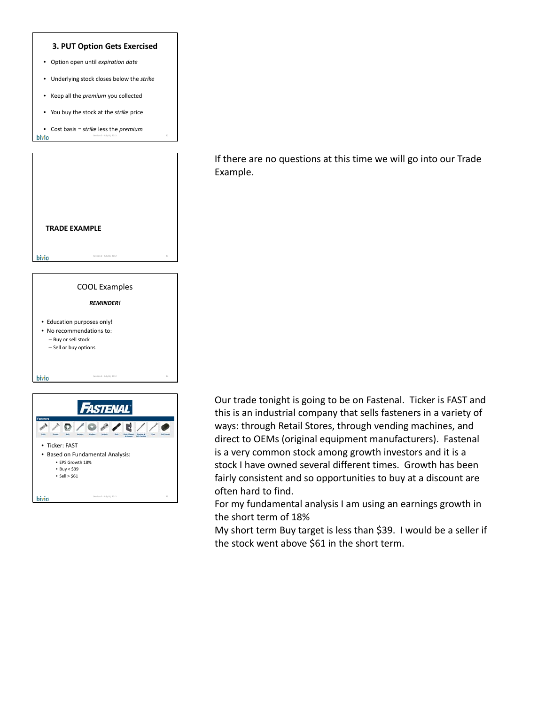

• Based on Fundamental Analysis: • EPS Growth 18%  $\bullet$  Buy < \$39  $\textdegree$  Sell > \$61 bivio Session 2 - July 18, 2012 25 If there are no questions at this time we will go into our Trade Example.

Our trade tonight is going to be on Fastenal. Ticker is FAST and this is an industrial company that sells fasteners in a variety of ways: through Retail Stores, through vending machines, and direct to OEMs (original equipment manufacturers). Fastenal is a very common stock among growth investors and it is a stock I have owned several different times. Growth has been fairly consistent and so opportunities to buy at a discount are often hard to find.

For my fundamental analysis I am using an earnings growth in the short term of 18%

My short term Buy target is less than \$39. I would be a seller if the stock went above \$61 in the short term.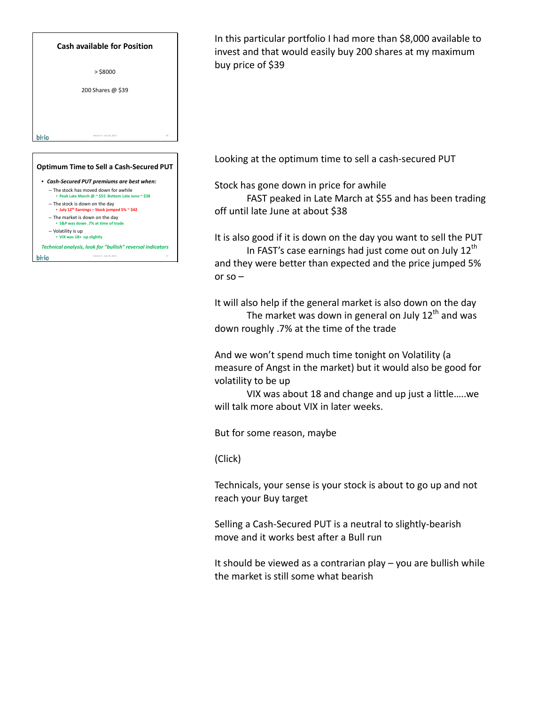

- The market is down on the day • **S&P was down .7% at time of trade**
- Volatility is up
- **VIX was 18+ up slightly**

|       | Technical analysis, look for "bullish" reversal indicators |  |
|-------|------------------------------------------------------------|--|
| hivio | Session 2 - July 18, 2012                                  |  |

In this particular portfolio I had more than \$8,000 available to invest and that would easily buy 200 shares at my maximum buy price of \$39

Looking at the optimum time to sell a cash‐secured PUT

Stock has gone down in price for awhile

FAST peaked in Late March at \$55 and has been trading off until late June at about \$38

It is also good if it is down on the day you want to sell the PUT In FAST's case earnings had just come out on July  $12<sup>th</sup>$ and they were better than expected and the price jumped 5% or  $so -$ 

It will also help if the general market is also down on the day The market was down in general on July  $12<sup>th</sup>$  and was down roughly .7% at the time of the trade

And we won't spend much time tonight on Volatility (a measure of Angst in the market) but it would also be good for volatility to be up

VIX was about 18 and change and up just a little…..we will talk more about VIX in later weeks.

But for some reason, maybe

(Click)

Technicals, your sense is your stock is about to go up and not reach your Buy target

Selling a Cash‐Secured PUT is a neutral to slightly‐bearish move and it works best after a Bull run

It should be viewed as a contrarian play – you are bullish while the market is still some what bearish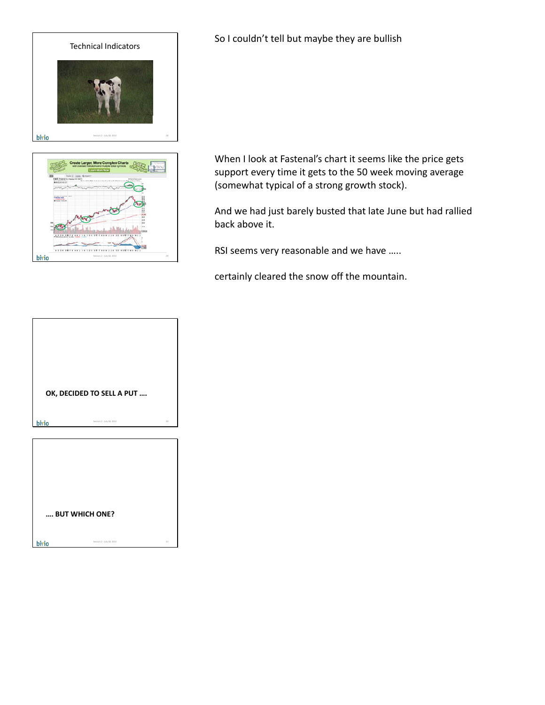



So I couldn't tell but maybe they are bullish

When I look at Fastenal's chart it seems like the price gets support every time it gets to the 50 week moving average (somewhat typical of a strong growth stock).

And we had just barely busted that late June but had rallied back above it.

RSI seems very reasonable and we have …..

certainly cleared the snow off the mountain.

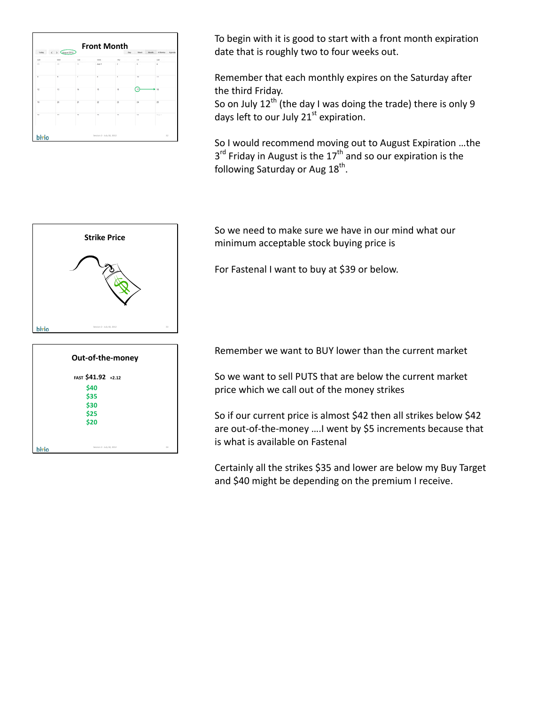

To begin with it is good to start with a front month expiration date that is roughly two to four weeks out.

Remember that each monthly expires on the Saturday after the third Friday.

So on July  $12^{th}$  (the day I was doing the trade) there is only 9 days left to our July  $21<sup>st</sup>$  expiration.

So I would recommend moving out to August Expiration …the  $3<sup>rd</sup>$  Friday in August is the  $17<sup>th</sup>$  and so our expiration is the following Saturday or Aug  $18<sup>th</sup>$ .



**\$30 \$25 \$20**

hivio

Session 2 - July 18, 2012 34

So we need to make sure we have in our mind what our minimum acceptable stock buying price is

For Fastenal I want to buy at \$39 or below.

Remember we want to BUY lower than the current market

So we want to sell PUTS that are below the current market price which we call out of the money strikes

So if our current price is almost \$42 then all strikes below \$42 are out-of-the-money .... I went by \$5 increments because that is what is available on Fastenal

Certainly all the strikes \$35 and lower are below my Buy Target and \$40 might be depending on the premium I receive.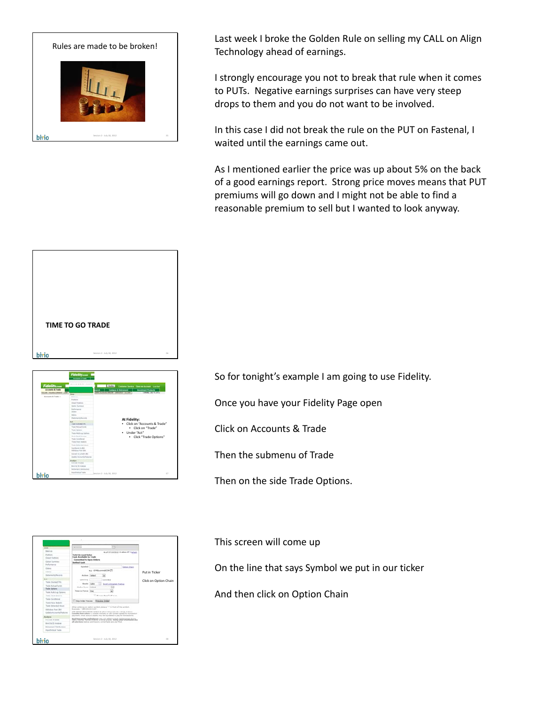

Last week I broke the Golden Rule on selling my CALL on Align Technology ahead of earnings.

I strongly encourage you not to break that rule when it comes to PUTs. Negative earnings surprises can have very steep drops to them and you do not want to be involved.

In this case I did not break the rule on the PUT on Fastenal, I waited until the earnings came out.

As I mentioned earlier the price was up about 5% on the back of a good earnings report. Strong price moves means that PUT premiums will go down and I might not be able to find a reasonable premium to sell but I wanted to look anyway.



So for tonight's example I am going to use Fidelity.

Once you have your Fidelity Page open

Click on Accounts & Trade

Then the submenu of Trade

Then on the side Trade Options.



This screen will come up

On the line that says Symbol we put in our ticker

And then click on Option Chain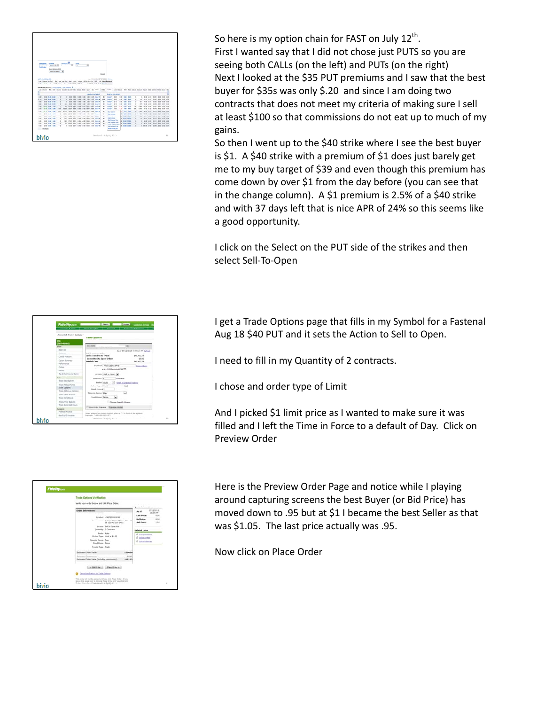

So here is my option chain for FAST on July  $12<sup>th</sup>$ . First I wanted say that I did not chose just PUTS so you are seeing both CALLs (on the left) and PUTs (on the right) Next I looked at the \$35 PUT premiums and I saw that the best buyer for \$35s was only \$.20 and since I am doing two contracts that does not meet my criteria of making sure I sell at least \$100 so that commissions do not eat up to much of my gains.

So then I went up to the \$40 strike where I see the best buyer is \$1. A \$40 strike with a premium of \$1 does just barely get me to my buy target of \$39 and even though this premium has come down by over \$1 from the day before (you can see that in the change column). A \$1 premium is 2.5% of a \$40 strike and with 37 days left that is nice APR of 24% so this seems like a good opportunity.

I click on the Select on the PUT side of the strikes and then select Sell‐To‐Open

I get a Trade Options page that fills in my Symbol for a Fastenal Aug 18 \$40 PUT and it sets the Action to Sell to Open.

I need to fill in my Quantity of 2 contracts.

I chose and order type of Limit

And I picked \$1 limit price as I wanted to make sure it was filled and I left the Time in Force to a default of Day. Click on Preview Order

| <b>Trade Options Verification</b>                                                               |          |                                                       |                             |
|-------------------------------------------------------------------------------------------------|----------|-------------------------------------------------------|-----------------------------|
| Veilly your order below and click Place Order.                                                  |          |                                                       |                             |
|                                                                                                 |          | ote before attra                                      |                             |
| <b>Order Information</b>                                                                        |          | As of                                                 | <b>ASSESSED</b><br>10.06.88 |
| 11111<br>Rondol PASTIZECIPES<br>Government Buff (East)) East Free CO and<br>18 12 840 (100 BHS) |          | Last Proces<br><b>Bid Frice:</b><br><b>Auk Price:</b> | 0.95<br>6.88<br>1.28        |
| Actions. Sall to Close Ful.                                                                     |          |                                                       |                             |
| Guestin I Contracts                                                                             |          | <b>Related Lister</b>                                 |                             |
| <b>Books</b> Auto<br>Graham Facers - Limit at \$1,000                                           |          | <sup>27</sup> Gund, Nashens<br><b>CT Guid-Driver</b>  |                             |
| Fines in Farrin, Day                                                                            |          | IT OAK SERVER                                         |                             |
| Conditions Note                                                                                 |          |                                                       |                             |
| Trade Type Cash                                                                                 |          |                                                       |                             |
| <b>Extending Critics' Value</b>                                                                 | \$300.00 |                                                       |                             |
| <b>Extensive Commission</b>                                                                     | 98.45    |                                                       |                             |
| Extremel Order Value Childuling commission):                                                    | \$291.95 |                                                       |                             |
| LA BALGONI L. PAIN GONCA 2                                                                      |          |                                                       |                             |
| Cannel and return to Trade Saturn                                                               |          |                                                       |                             |

Here is the Preview Order Page and notice while I playing around capturing screens the best Buyer (or Bid Price) has moved down to .95 but at \$1 I became the best Seller as that was \$1.05. The last price actually was .95.

Now click on Place Order

| <b>Fidelity.com</b>                                    | <b>Committee Continent Service</b><br><b>E</b> beautiful                                                         |
|--------------------------------------------------------|------------------------------------------------------------------------------------------------------------------|
| <b>Accounts &amp; Trade</b>                            | <b>Nowa &amp; Installate</b><br>Curricura & Robremore<br><b>Brananch</b>                                         |
|                                                        |                                                                                                                  |
| Accounts & Trade > Eutilalia >                         | <b>Trade Collons</b>                                                                                             |
|                                                        |                                                                                                                  |
|                                                        |                                                                                                                  |
| <b>Color</b>                                           | ×<br>determined                                                                                                  |
| America                                                | As of STILLIGHTS AN Ideas ST. Saturda                                                                            |
| <b>Brooklynn</b>                                       | Entitl Accompany Motors                                                                                          |
| <b>Good Fosters</b>                                    | <b>Cash Available to Trade</b><br><b>BAS.491.34</b><br>\$5.00<br>Committed to Door Defers                        |
| Outlas Aurorary                                        | <b>Settled Cesh</b><br>\$45,451.34                                                                               |
| <b>Parlamento</b>                                      | Symbol FAST120818P40<br><b>Dallas Draw</b>                                                                       |
| Orbina                                                 | <b>N.A. (STREVORMANCIN) CT.</b>                                                                                  |
| <b>Historic</b>                                        |                                                                                                                  |
| Tax 3rds (Year to Date)                                | Actua) [Sell to Open [a]                                                                                         |
| <b>Ad</b>                                              | Genetics 3<br>Centracte                                                                                          |
| <b>Trade Streets ETR</b>                               | <b>Books Lights</b><br>Soul is Stand Trailing                                                                    |
| Total Rubuk Fords                                      | <b>Deller Type Link</b><br>×                                                                                     |
| Trade Options                                          | <b>Linet Price \$12</b>                                                                                          |
| Trially M. R. Lab Garrentel<br><b>Tody Fand Income</b> | Simm in Force: Day<br>п                                                                                          |
| Tieste Constitueur.                                    | <b>Enablished Norw</b><br>o                                                                                      |
| <b>Trade/View Baskets</b>                              |                                                                                                                  |
| Toda Estandad Moura                                    | Chess forch Stewar                                                                                               |
|                                                        | C Day Order Preview - Ensurem Order                                                                              |
| <b>Madens</b><br><b>Fachfully Analysis</b>             |                                                                                                                  |
| <b>Bend &amp; CD Analysis</b>                          | When entering an agree surrich, place a <sup>117</sup> in front of the surricul.<br>Engravate: Tumministants.com |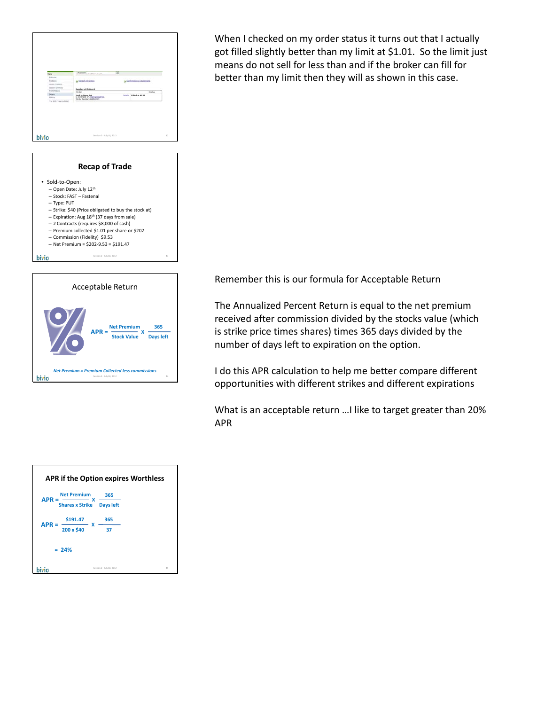





When I checked on my order status it turns out that I actually got filled slightly better than my limit at \$1.01. So the limit just means do not sell for less than and if the broker can fill for better than my limit then they will as shown in this case.

Remember this is our formula for Acceptable Return

The Annualized Percent Return is equal to the net premium received after commission divided by the stocks value (which is strike price times shares) times 365 days divided by the number of days left to expiration on the option.

I do this APR calculation to help me better compare different opportunities with different strikes and different expirations

What is an acceptable return …I like to target greater than 20% APR

|                                                | <b>APR if the Option expires Worthless</b> |  |
|------------------------------------------------|--------------------------------------------|--|
| <b>Net Premium</b>                             | 365                                        |  |
| <b>APR</b><br><b>Shares x Strike Days left</b> |                                            |  |
| \$191.47<br>$APR =$                            | 365<br>X                                   |  |
| 200 x \$40                                     | 37                                         |  |
| $= 24%$                                        |                                            |  |
|                                                | 45<br>Session 2 - July 18, 2012            |  |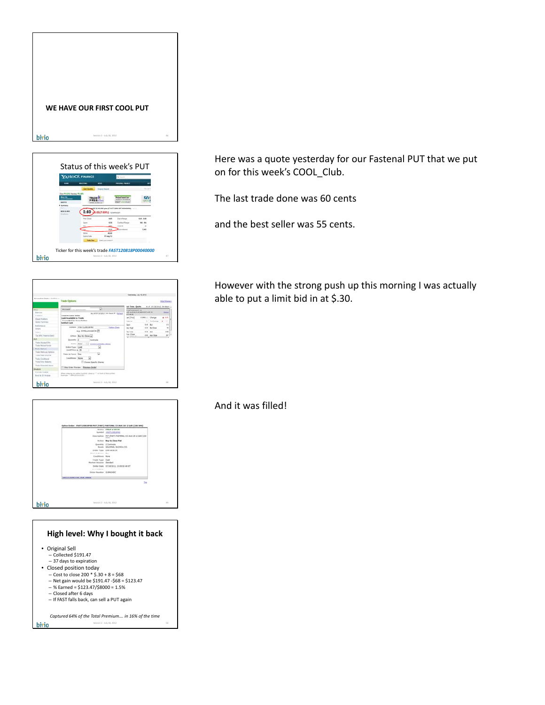

|                                                                                                | YAHOO! FINANCE           |                             |                                                |                           |
|------------------------------------------------------------------------------------------------|--------------------------|-----------------------------|------------------------------------------------|---------------------------|
|                                                                                                | <b>MASTING</b>           | --                          |                                                |                           |
|                                                                                                | <b>Carl Docket</b>       | <b>Hopes fairs</b>          |                                                |                           |
| <b>Dear # 6.61% Resides # 6.82%</b><br><b>Book 194</b><br><b>GASTERWOODS</b><br><b>AMERICA</b> | TRAIN                    |                             | atted best fo                                  |                           |
| university of<br>---<br><b>DES &amp; AMS</b>                                                   | 0.60                     | . 0.05(7.69%) unwass        | FAAT Aug 2012 40.000 p.m (FAST120818P00040000) |                           |
|                                                                                                | <b>Franz Christi</b>     | 6.615                       | <b>Earn Range</b>                              | 5.45 6.68                 |
|                                                                                                |                          | 6.56<br>645                 | <b>Contract Range</b><br><b>CONTRACTOR</b>     | <b>MA 84</b><br><b>SI</b> |
|                                                                                                | $\overline{\phantom{a}}$ | 6.55                        | <b>Look Schedule</b>                           | 3,941                     |
|                                                                                                | <b>INSA</b>              | 49.84                       |                                                |                           |
|                                                                                                | <b>Earn Date</b>         | 17 Aug 12                   |                                                |                           |
|                                                                                                | <b>Total State</b>       | <b>Extent gast levels 4</b> |                                                |                           |

| Rosseels & Hele + Suitkin +                         |                                                                                  | Federates, July 18, 2012                                     |                 |                              |                  |
|-----------------------------------------------------|----------------------------------------------------------------------------------|--------------------------------------------------------------|-----------------|------------------------------|------------------|
|                                                     | <b>Trade Collons</b>                                                             |                                                              |                 |                              | TATA (FORM 2)    |
|                                                     | $\overline{a}$                                                                   | <b>Jul-Tome Goods</b>                                        |                 | to of philacened im-shale in |                  |
| the con-                                            | <b>RISINGS</b>                                                                   | <b>EXUITEDIREARNS</b>                                        |                 |                              |                  |
| <b>External</b>                                     | As of thridaysta in Show ## Autust                                               | ART JUST FUR DEED WE WANT OUT A LIFE TO<br><b>AVE WEIGHT</b> |                 |                              | <b>Baltimore</b> |
| Postere                                             | <b>Total Account Value</b><br><b>Cash Available to Trade</b>                     | 44.1768                                                      | E3991   Change  |                              | $+ 10$           |
| <b>Cleaned Printfields</b><br><b>Sellen Burenow</b> | Committed by Street Deferre                                                      | island.                                                      |                 | In A shares                  | $1 - 1$          |
| <b>Ferturnancia</b>                                 | <b>Settled Cash</b>                                                              | Spel                                                         | <b>S.M. But</b> |                              | 5.9              |
| <b>Delivery</b>                                     | symbol 4x51120918Fe2<br><b>Select Check</b>                                      | <b>Dear High</b>                                             |                 | <b>D-M Wallbox</b>           | ×                |
| <b>PERSONAL</b>                                     | e.g. drinksymmaking TT                                                           | <b>Say Low</b>                                               | <b>6.90 AUA</b> |                              | $+10$            |
| Tax 345 (Year to Date)                              | Artisti Buy to Close a                                                           | <b>Tray Close</b>                                            |                 |                              | per 1m           |
|                                                     |                                                                                  | STORAGE                                                      |                 | 111 44,324                   | u v              |
| Trade Inschaft IIIs                                 | Goannike (3)<br>Centralis                                                        |                                                              |                 |                              |                  |
| Toxas Inches Europe                                 | <b>Boyles Auto</b><br>117 South as Separated Tracking                            |                                                              |                 |                              |                  |
| <b>Trade Garage</b>                                 | <b>Briter Food Land</b><br>٠                                                     |                                                              |                 |                              |                  |
| Trails Hullis Led Darland                           | Lind Fries £.35                                                                  |                                                              |                 |                              |                  |
| Trade Fixed Jocenter                                | Ta)<br><b>Tons is Force Dec</b>                                                  |                                                              |                 |                              |                  |
| Trade Conditional                                   | <b>Conditions Nove</b><br>ы                                                      |                                                              |                 |                              |                  |
| Trainform Sakery                                    | C Checke Specific Shares                                                         |                                                              |                 |                              |                  |
| Traits Extended Hours                               |                                                                                  |                                                              |                 |                              |                  |
| <b>Brushove</b>                                     | 11 Ship Street President<br><b>President Circles</b>                             |                                                              |                 |                              |                  |
| <b>Portfolio Analysis</b>                           | When entering an aution armited, place a <sup>117</sup> in fresh of the central. |                                                              |                 |                              |                  |
| <b>Royal &amp; ITO Analysis</b>                     | Bearing Titles2012/CLDF.                                                         |                                                              |                 |                              |                  |





Here was a quote yesterday for our Fastenal PUT that we put on for this week's COOL\_Club.

The last trade done was 60 cents

and the best seller was 55 cents.

However with the strong push up this morning I was actually able to put a limit bid in at \$.30.

And it was filled!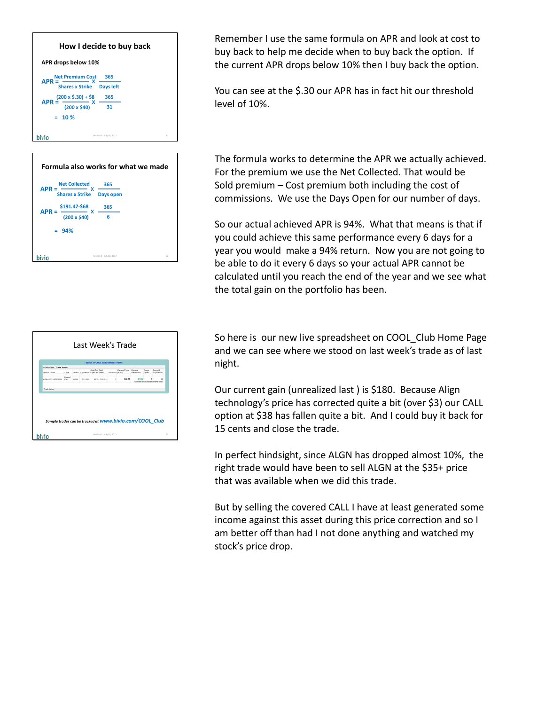| How I decide to buy back            |                                 |  |  |  |  |  |
|-------------------------------------|---------------------------------|--|--|--|--|--|
| APR drops below 10%                 |                                 |  |  |  |  |  |
| <b>Net Premium Cost</b><br>$APR =$  | 365                             |  |  |  |  |  |
| <b>Shares x Strike</b>              | <b>Days left</b>                |  |  |  |  |  |
| $(200 \times $.30) + $8$<br>$APR =$ | 365                             |  |  |  |  |  |
| $(200 \times $40)$                  | 31                              |  |  |  |  |  |
| $= 10 \%$                           |                                 |  |  |  |  |  |
|                                     | 51<br>Session 2 - July 18, 2012 |  |  |  |  |  |

|         |                                  | Formula also works for what we made |    |
|---------|----------------------------------|-------------------------------------|----|
|         | <b>Net Collected</b>             | 365                                 |    |
| $APR =$ | <b>Shares x Strike Days open</b> |                                     |    |
| $APR =$ | \$191.47-\$68<br>x               | 365                                 |    |
|         | $(200 \times $40)$               | 6                                   |    |
| $= 94%$ |                                  |                                     |    |
|         |                                  |                                     |    |
|         |                                  | Session 2 - July 18, 2012           | 52 |

|                                                                         |               |       | Last Week's Trade             |               |                                          |                  |       |                                     |               |                              |
|-------------------------------------------------------------------------|---------------|-------|-------------------------------|---------------|------------------------------------------|------------------|-------|-------------------------------------|---------------|------------------------------|
|                                                                         |               |       |                               |               | <b>Status of COCK Club Sample Trades</b> |                  |       |                                     |               |                              |
| COOL Club: Trade Status                                                 |               |       |                               |               |                                          |                  |       |                                     |               |                              |
| Option Ticker                                                           | Type          |       | Stock Expendion Open at Elete | Sold To -Sell |                                          | Contracti (ASA)* |       | Current Pincer Current<br>Geinfluss | Days.<br>Open | Days 38<br><b>Paperation</b> |
| ALCANDERS KOMMAND                                                       | Count<br>Call | ALCOH | <b>TO12012</b>                |               | \$8.75 S100912                           |                  | 50.15 |                                     |               |                              |
| Trade Status<br>Sample trades can be tracked at WWW.bivio.com/COOL Club |               |       |                               |               |                                          |                  |       |                                     |               |                              |
|                                                                         |               |       |                               |               | Session 2 - July 18, 2012                |                  |       |                                     |               | 53                           |

Remember I use the same formula on APR and look at cost to buy back to help me decide when to buy back the option. If the current APR drops below 10% then I buy back the option.

You can see at the \$.30 our APR has in fact hit our threshold level of 10%.

The formula works to determine the APR we actually achieved. For the premium we use the Net Collected. That would be Sold premium – Cost premium both including the cost of commissions. We use the Days Open for our number of days.

So our actual achieved APR is 94%. What that means is that if you could achieve this same performance every 6 days for a year you would make a 94% return. Now you are not going to be able to do it every 6 days so your actual APR cannot be calculated until you reach the end of the year and we see what the total gain on the portfolio has been.

So here is our new live spreadsheet on COOL\_Club Home Page and we can see where we stood on last week's trade as of last night.

Our current gain (unrealized last ) is \$180. Because Align technology's price has corrected quite a bit (over \$3) our CALL option at \$38 has fallen quite a bit. And I could buy it back for 15 cents and close the trade.

In perfect hindsight, since ALGN has dropped almost 10%, the right trade would have been to sell ALGN at the \$35+ price that was available when we did this trade.

But by selling the covered CALL I have at least generated some income against this asset during this price correction and so I am better off than had I not done anything and watched my stock's price drop.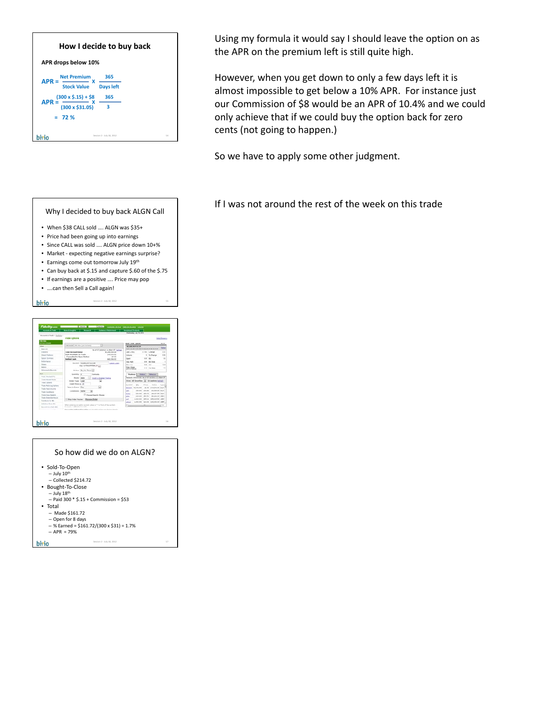| How I decide to buy back<br>APR drops below 10% |                                                                                                                 |                                     |  |     |  |  |
|-------------------------------------------------|-----------------------------------------------------------------------------------------------------------------|-------------------------------------|--|-----|--|--|
| $APR =$<br>$APR =$                              | <b>Net Premium</b><br>x<br><b>Stock Value</b><br>$(300 \times $.15) + $8$<br>$(300 \times $31.05)$<br>$= 72 \%$ | 365<br><b>Days left</b><br>365<br>3 |  |     |  |  |
|                                                 |                                                                                                                 | Session 2 - July 18, 2012           |  | 5.6 |  |  |





Using my formula it would say I should leave the option on as the APR on the premium left is still quite high.

However, when you get down to only a few days left it is almost impossible to get below a 10% APR. For instance just our Commission of \$8 would be an APR of 10.4% and we could only achieve that if we could buy the option back for zero cents (not going to happen.)

So we have to apply some other judgment.

If I was not around the rest of the week on this trade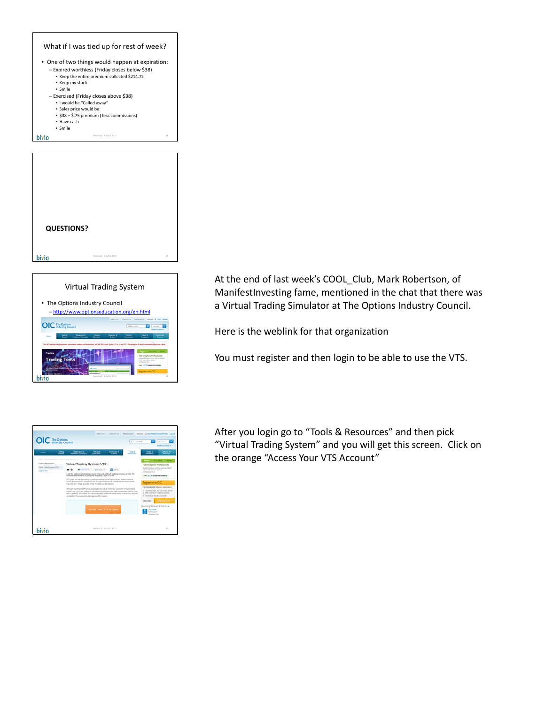

bivio Session 2 - July 18, 2012 59



At the end of last week's COOL Club, Mark Robertson, of ManifestInvesting fame, mentioned in the chat that there was a Virtual Trading Simulator at The Options Industry Council.

Here is the weblink for that organization

You must register and then login to be able to use the VTS.

| OIC The Options                                                                                                           | <b>Beattle Pict</b>                                                                                                                                                                                                                                                                                                                                                                                                                                                                                                                                                                                                                                                                                                                                                                                 | <b>Quicked</b><br><b>Sended Contract &amp;</b>                                                                                                                                                                                                                                                                                                                                                                                                 |
|---------------------------------------------------------------------------------------------------------------------------|-----------------------------------------------------------------------------------------------------------------------------------------------------------------------------------------------------------------------------------------------------------------------------------------------------------------------------------------------------------------------------------------------------------------------------------------------------------------------------------------------------------------------------------------------------------------------------------------------------------------------------------------------------------------------------------------------------------------------------------------------------------------------------------------------------|------------------------------------------------------------------------------------------------------------------------------------------------------------------------------------------------------------------------------------------------------------------------------------------------------------------------------------------------------------------------------------------------------------------------------------------------|
| General<br><b>Thursday</b><br>State-                                                                                      | <b>Stateger &amp;</b><br><b>Senators</b><br>Toyota AL<br><b>Campus</b><br>Advanced Commerc<br><b>Edward</b><br><b>Course</b><br><b>Resident art</b>                                                                                                                                                                                                                                                                                                                                                                                                                                                                                                                                                                                                                                                 | <b>News X</b><br><b>Dycure for</b><br><b>Received</b><br><b>The Contract of the Contract of the Contract of the Contract of the Contract of the Contract of the Contract of The Contract of The Contract of The Contract of The Contract of The Contract of The Contract of The Contract </b>                                                                                                                                                  |
| them a first a concerning a time further present of the<br>Toyota & Roomertran<br>Urban Tradesi Greene AFTS<br>Laura VIII | Virtual Trading System (VTS)<br><b>CO March</b><br>Test the cytisis stategies pay'on learned without putting money at risk. No<br>additional solicitor or play interpreted, and it's lead.<br>STEED and you the particle behalf and the transport of shortest and you awake 2011.<br>motives action momen interchiving how a research call works or what the controllers proble.<br>than look tike? Plans an includ in the VTS and year the resulted<br>Attitude a profit and allowances and between a rival instruments and attracted<br>thanking, our UTS or all additioned a busidiary field by help you to believ understand address. Two<br>will be gone \$2,350 inform tol can drawn and additional other heads or result can account<br>completely. The account is also approved for margin. | $\sim$<br><b>Line Chair</b><br><b>Silver I</b><br>Talk to Options Professionals<br>Guardine, player and in a relieve related?<br>Sales that will acculiate<br>and announced to the<br>Call (C/In 3 886 0410 883<br>Feature with CIC<br>Personalized rations what about<br>a. Alterdately first, and your left is arrush.<br>. The ent star is cleans pulse.<br>a. Controlleric Rat & visue stanks<br><b>Register forms</b><br><b>Block MAY</b> |
|                                                                                                                           | <b>Access Your VTS Account</b>                                                                                                                                                                                                                                                                                                                                                                                                                                                                                                                                                                                                                                                                                                                                                                      | crony Severant & Events, w.<br><b>ALL ENGINE</b><br>Internat, P.O.                                                                                                                                                                                                                                                                                                                                                                             |

After you login go to "Tools & Resources" and then pick "Virtual Trading System" and you will get this screen. Click on the orange "Access Your VTS Account"